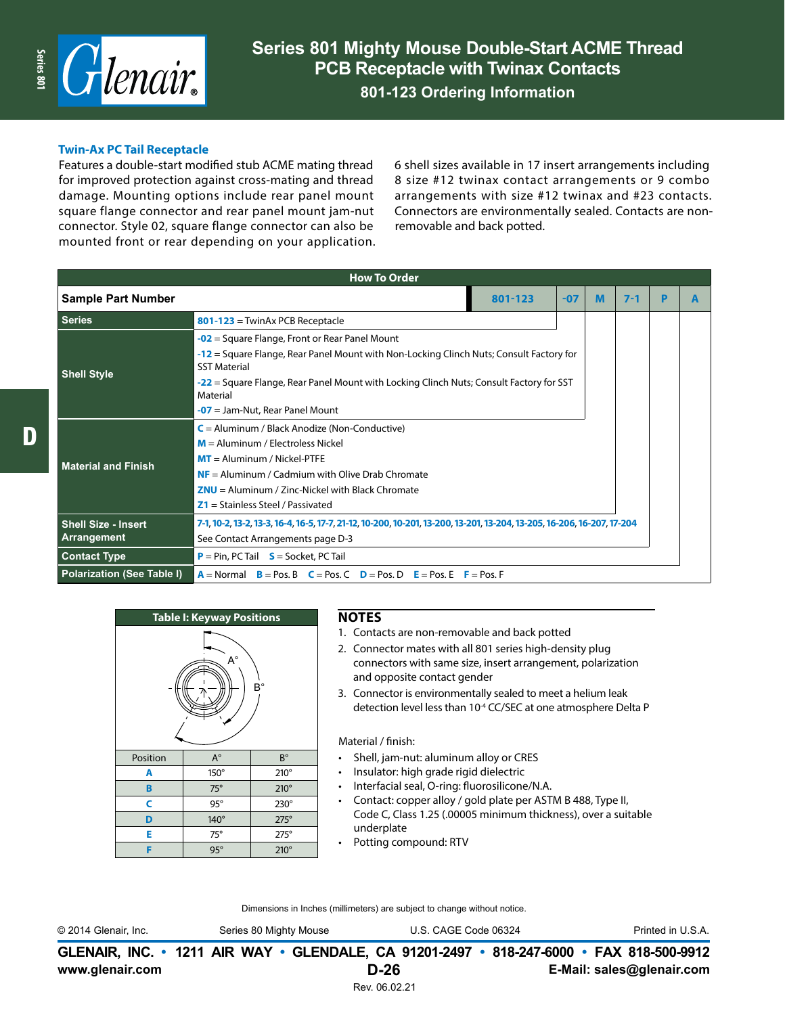

#### **Twin-Ax PC Tail Receptacle**

Features a double-start modified stub ACME mating thread for improved protection against cross-mating and thread damage. Mounting options include rear panel mount square flange connector and rear panel mount jam-nut connector. Style 02, square flange connector can also be mounted front or rear depending on your application.

6 shell sizes available in 17 insert arrangements including 8 size #12 twinax contact arrangements or 9 combo arrangements with size #12 twinax and #23 contacts. Connectors are environmentally sealed. Contacts are nonremovable and back potted.

| <b>How To Order</b>                                           |                                                                                                                        |  |  |  |  |  |  |  |  |  |
|---------------------------------------------------------------|------------------------------------------------------------------------------------------------------------------------|--|--|--|--|--|--|--|--|--|
| <b>Sample Part Number</b><br>801-123<br>M<br>$7 - 1$<br>$-07$ |                                                                                                                        |  |  |  |  |  |  |  |  |  |
| <b>Series</b>                                                 | $801-123$ = TwinAx PCB Receptacle                                                                                      |  |  |  |  |  |  |  |  |  |
|                                                               | $-02$ = Square Flange, Front or Rear Panel Mount                                                                       |  |  |  |  |  |  |  |  |  |
| <b>Shell Style</b>                                            | -12 = Square Flange, Rear Panel Mount with Non-Locking Clinch Nuts; Consult Factory for<br><b>SST Material</b>         |  |  |  |  |  |  |  |  |  |
|                                                               | -22 = Square Flange, Rear Panel Mount with Locking Clinch Nuts; Consult Factory for SST<br>Material                    |  |  |  |  |  |  |  |  |  |
|                                                               | $-07$ = Jam-Nut, Rear Panel Mount                                                                                      |  |  |  |  |  |  |  |  |  |
|                                                               | $C =$ Aluminum / Black Anodize (Non-Conductive)                                                                        |  |  |  |  |  |  |  |  |  |
|                                                               | $M =$ Aluminum / Electroless Nickel                                                                                    |  |  |  |  |  |  |  |  |  |
| <b>Material and Finish</b>                                    | $MT =$ Aluminum / Nickel-PTFE                                                                                          |  |  |  |  |  |  |  |  |  |
|                                                               | $NF =$ Aluminum / Cadmium with Olive Drab Chromate                                                                     |  |  |  |  |  |  |  |  |  |
|                                                               | $ZNU =$ Aluminum / Zinc-Nickel with Black Chromate                                                                     |  |  |  |  |  |  |  |  |  |
|                                                               | $Z1 =$ Stainless Steel / Passivated                                                                                    |  |  |  |  |  |  |  |  |  |
| <b>Shell Size - Insert</b>                                    | 7-1, 10-2, 13-2, 13-3, 16-4, 16-5, 17-7, 21-12, 10-200, 10-201, 13-200, 13-201, 13-204, 13-205, 16-206, 16-207, 17-204 |  |  |  |  |  |  |  |  |  |
| Arrangement                                                   | See Contact Arrangements page D-3                                                                                      |  |  |  |  |  |  |  |  |  |
| <b>Contact Type</b>                                           | $P = Pin$ , PC Tail $S = S$ ocket, PC Tail                                                                             |  |  |  |  |  |  |  |  |  |
| <b>Polarization (See Table I)</b>                             | $A = Normal$ $B = Pos. B$ $C = Pos. C$ $D = Pos. D$ $E = Pos. E$ $F = Pos. F$                                          |  |  |  |  |  |  |  |  |  |

| <b>Table I: Keyway Positions</b> |             |             |  |  |  |  |  |  |
|----------------------------------|-------------|-------------|--|--|--|--|--|--|
| Ą°<br>В°                         |             |             |  |  |  |  |  |  |
| Position                         | $A^{\circ}$ | $B^{\circ}$ |  |  |  |  |  |  |
| Α                                | 150°        | $210^\circ$ |  |  |  |  |  |  |
| B                                | $75^\circ$  | $210^\circ$ |  |  |  |  |  |  |
| Ċ<br>$95^\circ$<br>230°          |             |             |  |  |  |  |  |  |
| D<br>140°<br>$275^\circ$         |             |             |  |  |  |  |  |  |
| $75^\circ$<br>E<br>$275^\circ$   |             |             |  |  |  |  |  |  |
|                                  | $95^\circ$  | $210^\circ$ |  |  |  |  |  |  |

#### **NOTES**

- 1. Contacts are non-removable and back potted
- 2. Connector mates with all 801 series high-density plug connectors with same size, insert arrangement, polarization and opposite contact gender
- 3. Connector is environmentally sealed to meet a helium leak detection level less than 10<sup>-4</sup> CC/SEC at one atmosphere Delta P

#### Material / finish:

- Shell, jam-nut: aluminum alloy or CRES
- Insulator: high grade rigid dielectric
- Interfacial seal, O-ring: fluorosilicone/N.A.
- Contact: copper alloy / gold plate per ASTM B 488, Type II, Code C, Class 1.25 (.00005 minimum thickness), over a suitable underplate
- Potting compound: RTV

Dimensions in Inches (millimeters) are subject to change without notice.

© 2014 Glenair, Inc. Series 80 Mighty Mouse U.S. CAGE Code 06324 Printed in U.S.A.

**www.glenair.com E-Mail: sales@glenair.com GLENAIR, INC. • 1211 AIR WAY • GLENDALE, CA 91201-2497 • 818-247-6000 • FAX 818-500-9912 D-26**

Rev. 06.02.21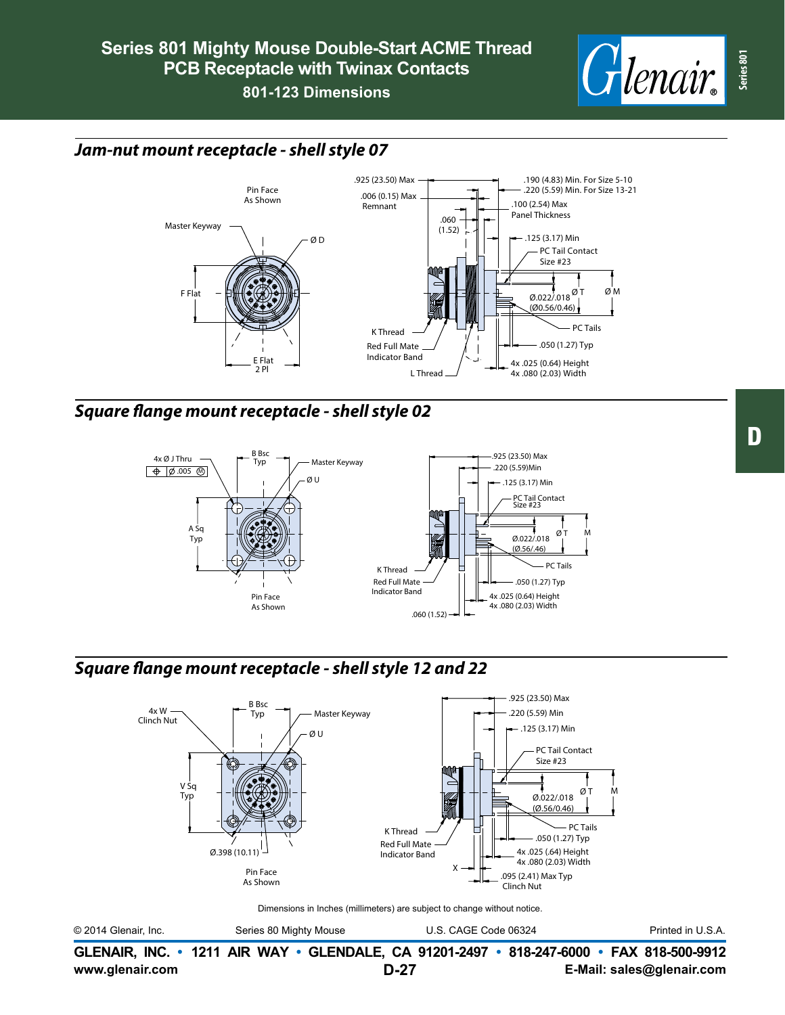

# *Jam-nut mount receptacle - shell style 07*



### *Square flange mount receptacle - shell style 02*



# *Square flange mount receptacle - shell style 12 and 22*



Dimensions in Inches (millimeters) are subject to change without notice.

© 2014 Glenair, Inc. Series 80 Mighty Mouse U.S. CAGE Code 06324 Printed in U.S.A.

**www.glenair.com E-Mail: sales@glenair.com GLENAIR, INC. • 1211 AIR WAY • GLENDALE, CA 91201-2497 • 818-247-6000 • FAX 818-500-9912 D-27**